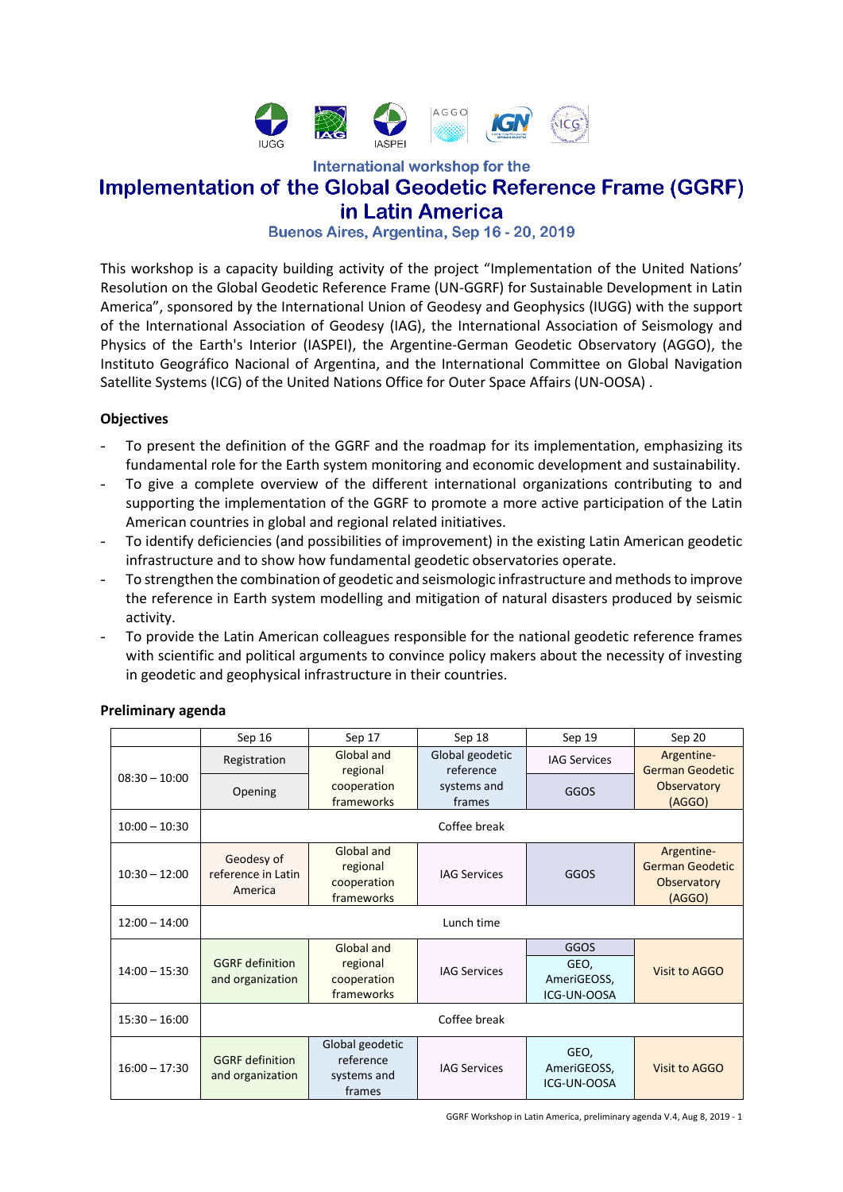

International workshop for the

# **Implementation of the Global Geodetic Reference Frame (GGRF)** in Latin America

Buenos Aires, Argentina, Sep 16 - 20, 2019

This workshop is a capacity building activity of the project "Implementation of the United Nations' Resolution on the Global Geodetic Reference Frame (UN-GGRF) for Sustainable Development in Latin America", sponsored by the International Union of Geodesy and Geophysics (IUGG) with the support of the International Association of Geodesy (IAG), the International Association of Seismology and Physics of the Earth's Interior (IASPEI), the Argentine-German Geodetic Observatory (AGGO), the Instituto Geográfico Nacional of Argentina, and the International Committee on Global Navigation Satellite Systems (ICG) of the United Nations Office for Outer Space Affairs (UN-OOSA) .

#### **Objectives**

- To present the definition of the GGRF and the roadmap for its implementation, emphasizing its fundamental role for the Earth system monitoring and economic development and sustainability.
- To give a complete overview of the different international organizations contributing to and supporting the implementation of the GGRF to promote a more active participation of the Latin American countries in global and regional related initiatives.
- To identify deficiencies (and possibilities of improvement) in the existing Latin American geodetic infrastructure and to show how fundamental geodetic observatories operate.
- To strengthen the combination of geodetic and seismologic infrastructure and methods to improve the reference in Earth system modelling and mitigation of natural disasters produced by seismic activity.
- To provide the Latin American colleagues responsible for the national geodetic reference frames with scientific and political arguments to convince policy makers about the necessity of investing in geodetic and geophysical infrastructure in their countries.

|                 | Sep 16                                      | Sep 17                                                | Sep 18                       | Sep 19                                     | Sep 20                                                        |
|-----------------|---------------------------------------------|-------------------------------------------------------|------------------------------|--------------------------------------------|---------------------------------------------------------------|
| $08:30 - 10:00$ | Registration                                | Global and<br>regional                                | Global geodetic<br>reference | <b>IAG Services</b>                        | Argentine-<br><b>German Geodetic</b>                          |
|                 | Opening                                     | cooperation<br>frameworks                             | systems and<br>frames        | GGOS                                       | Observatory<br>(AGGO)                                         |
| $10:00 - 10:30$ |                                             |                                                       | Coffee break                 |                                            |                                                               |
| $10:30 - 12:00$ | Geodesy of<br>reference in Latin<br>America | Global and<br>regional<br>cooperation<br>frameworks   | <b>IAG Services</b>          | GGOS                                       | Argentine-<br><b>German Geodetic</b><br>Observatory<br>(AGGO) |
| $12:00 - 14:00$ |                                             |                                                       | Lunch time                   |                                            |                                                               |
| $14:00 - 15:30$ | <b>GGRF</b> definition<br>and organization  | Global and<br>regional<br>cooperation<br>frameworks   | <b>IAG Services</b>          | GGOS<br>GEO,<br>AmeriGEOSS,<br>ICG-UN-OOSA | Visit to AGGO                                                 |
| $15:30 - 16:00$ |                                             |                                                       | Coffee break                 |                                            |                                                               |
| $16:00 - 17:30$ | <b>GGRF</b> definition<br>and organization  | Global geodetic<br>reference<br>systems and<br>frames | <b>IAG Services</b>          | GEO,<br>AmeriGEOSS,<br>ICG-UN-OOSA         | Visit to AGGO                                                 |

#### **Preliminary agenda**

GGRF Workshop in Latin America, preliminary agenda V.4, Aug 8, 2019 - 1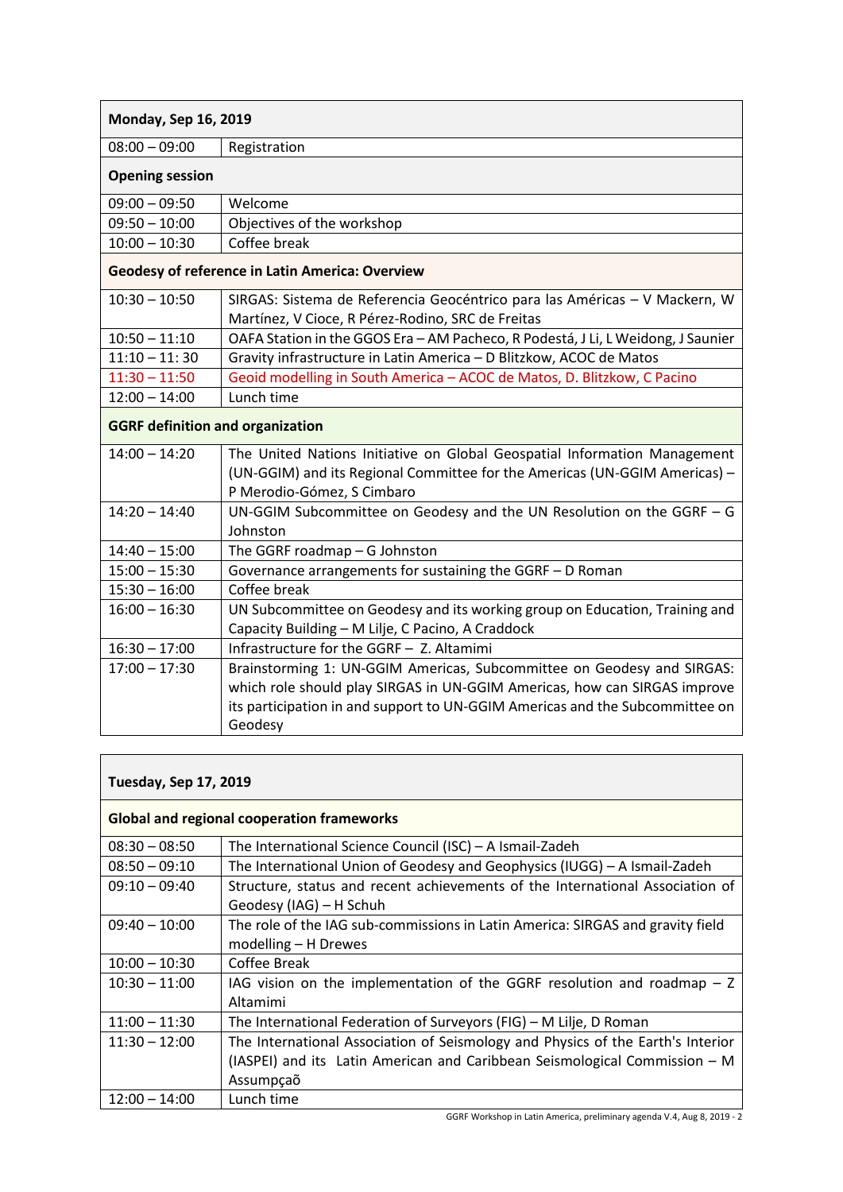| Monday, Sep 16, 2019 |  |
|----------------------|--|
|----------------------|--|

08:00 – 09:00 Registration

| <b>Opening session</b> |  |
|------------------------|--|
|------------------------|--|

| l 09:00 – 09:50   | Welcome                    |
|-------------------|----------------------------|
| $ 09:50 - 10:00 $ | Objectives of the workshop |
| $ 10:00 - 10:30 $ | Coffee break               |

## **Geodesy of reference in Latin America: Overview**

| $10:30 - 10:50$ | SIRGAS: Sistema de Referencia Geocéntrico para las Américas - V Mackern, W       |
|-----------------|----------------------------------------------------------------------------------|
|                 | Martínez, V Cioce, R Pérez-Rodino, SRC de Freitas                                |
| $10:50 - 11:10$ | OAFA Station in the GGOS Era - AM Pacheco, R Podestá, J Li, L Weidong, J Saunier |
| $11:10 - 11:30$ | Gravity infrastructure in Latin America - D Blitzkow, ACOC de Matos              |
| $11:30 - 11:50$ | Geoid modelling in South America - ACOC de Matos, D. Blitzkow, C Pacino          |
| $12:00 - 14:00$ | Lunch time                                                                       |

## **GGRF definition and organization**

| $14:00 - 14:20$<br>The United Nations Initiative on Global Geospatial Information Management<br>(UN-GGIM) and its Regional Committee for the Americas (UN-GGIM Americas) -<br>P Merodio-Gómez, S Cimbaro<br>UN-GGIM Subcommittee on Geodesy and the UN Resolution on the GGRF $-$ G<br>$14:20 - 14:40$<br>Johnston<br>$14:40 - 15:00$<br>The GGRF roadmap $-$ G Johnston<br>Governance arrangements for sustaining the GGRF - D Roman<br>$15:00 - 15:30$<br>Coffee break<br>$15:30 - 16:00$<br>UN Subcommittee on Geodesy and its working group on Education, Training and<br>$16:00 - 16:30$<br>Capacity Building - M Lilje, C Pacino, A Craddock<br>Infrastructure for the GGRF - Z. Altamimi<br>$16:30 - 17:00$<br>Brainstorming 1: UN-GGIM Americas, Subcommittee on Geodesy and SIRGAS:<br>$17:00 - 17:30$<br>which role should play SIRGAS in UN-GGIM Americas, how can SIRGAS improve<br>its participation in and support to UN-GGIM Americas and the Subcommittee on<br>Geodesy |  |
|-----------------------------------------------------------------------------------------------------------------------------------------------------------------------------------------------------------------------------------------------------------------------------------------------------------------------------------------------------------------------------------------------------------------------------------------------------------------------------------------------------------------------------------------------------------------------------------------------------------------------------------------------------------------------------------------------------------------------------------------------------------------------------------------------------------------------------------------------------------------------------------------------------------------------------------------------------------------------------------------|--|
|                                                                                                                                                                                                                                                                                                                                                                                                                                                                                                                                                                                                                                                                                                                                                                                                                                                                                                                                                                                         |  |
|                                                                                                                                                                                                                                                                                                                                                                                                                                                                                                                                                                                                                                                                                                                                                                                                                                                                                                                                                                                         |  |
|                                                                                                                                                                                                                                                                                                                                                                                                                                                                                                                                                                                                                                                                                                                                                                                                                                                                                                                                                                                         |  |
|                                                                                                                                                                                                                                                                                                                                                                                                                                                                                                                                                                                                                                                                                                                                                                                                                                                                                                                                                                                         |  |
|                                                                                                                                                                                                                                                                                                                                                                                                                                                                                                                                                                                                                                                                                                                                                                                                                                                                                                                                                                                         |  |
|                                                                                                                                                                                                                                                                                                                                                                                                                                                                                                                                                                                                                                                                                                                                                                                                                                                                                                                                                                                         |  |
|                                                                                                                                                                                                                                                                                                                                                                                                                                                                                                                                                                                                                                                                                                                                                                                                                                                                                                                                                                                         |  |
|                                                                                                                                                                                                                                                                                                                                                                                                                                                                                                                                                                                                                                                                                                                                                                                                                                                                                                                                                                                         |  |
|                                                                                                                                                                                                                                                                                                                                                                                                                                                                                                                                                                                                                                                                                                                                                                                                                                                                                                                                                                                         |  |
|                                                                                                                                                                                                                                                                                                                                                                                                                                                                                                                                                                                                                                                                                                                                                                                                                                                                                                                                                                                         |  |
|                                                                                                                                                                                                                                                                                                                                                                                                                                                                                                                                                                                                                                                                                                                                                                                                                                                                                                                                                                                         |  |
|                                                                                                                                                                                                                                                                                                                                                                                                                                                                                                                                                                                                                                                                                                                                                                                                                                                                                                                                                                                         |  |
|                                                                                                                                                                                                                                                                                                                                                                                                                                                                                                                                                                                                                                                                                                                                                                                                                                                                                                                                                                                         |  |
|                                                                                                                                                                                                                                                                                                                                                                                                                                                                                                                                                                                                                                                                                                                                                                                                                                                                                                                                                                                         |  |
|                                                                                                                                                                                                                                                                                                                                                                                                                                                                                                                                                                                                                                                                                                                                                                                                                                                                                                                                                                                         |  |

## **Tuesday, Sep 17, 2019**

| <b>Global and regional cooperation frameworks</b> |                                                                                 |  |
|---------------------------------------------------|---------------------------------------------------------------------------------|--|
| $08:30 - 08:50$                                   | The International Science Council (ISC) - A Ismail-Zadeh                        |  |
| $08:50 - 09:10$                                   | The International Union of Geodesy and Geophysics (IUGG) – A Ismail-Zadeh       |  |
| $09:10 - 09:40$                                   | Structure, status and recent achievements of the International Association of   |  |
|                                                   | Geodesy (IAG) - H Schuh                                                         |  |
| $09:40 - 10:00$                                   | The role of the IAG sub-commissions in Latin America: SIRGAS and gravity field  |  |
|                                                   | modelling - H Drewes                                                            |  |
| $10:00 - 10:30$                                   | Coffee Break                                                                    |  |
| $10:30 - 11:00$                                   | IAG vision on the implementation of the GGRF resolution and roadmap $- 2$       |  |
|                                                   | Altamimi                                                                        |  |
| $11:00 - 11:30$                                   | The International Federation of Surveyors (FIG) - M Lilje, D Roman              |  |
| $11:30 - 12:00$                                   | The International Association of Seismology and Physics of the Earth's Interior |  |
|                                                   | (IASPEI) and its Latin American and Caribbean Seismological Commission - M      |  |
|                                                   | Assumpção                                                                       |  |
| $12:00 - 14:00$                                   | Lunch time                                                                      |  |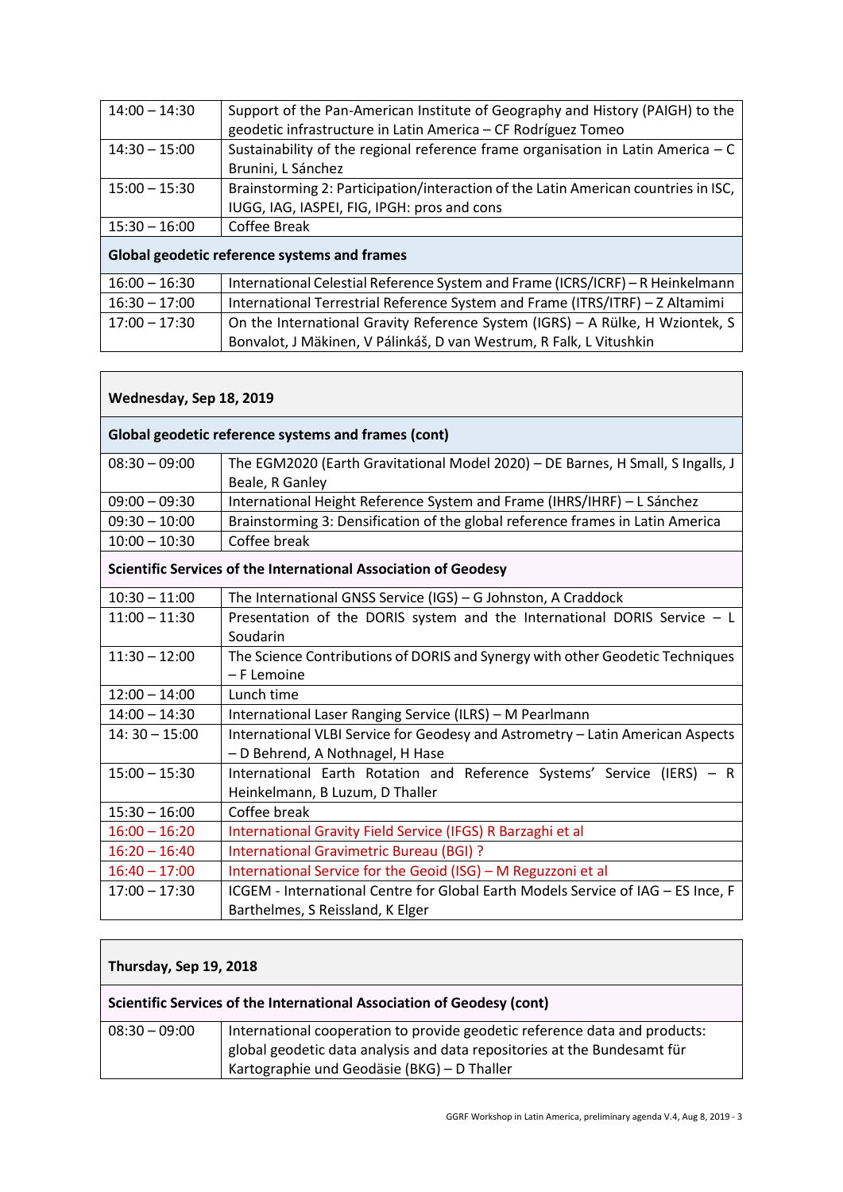| $14:00 - 14:30$                              | Support of the Pan-American Institute of Geography and History (PAIGH) to the      |  |
|----------------------------------------------|------------------------------------------------------------------------------------|--|
|                                              | geodetic infrastructure in Latin America - CF Rodríguez Tomeo                      |  |
| $14:30 - 15:00$                              | Sustainability of the regional reference frame organisation in Latin America $- C$ |  |
|                                              | Brunini, L Sánchez                                                                 |  |
| $15:00 - 15:30$                              | Brainstorming 2: Participation/interaction of the Latin American countries in ISC, |  |
|                                              | IUGG, IAG, IASPEI, FIG, IPGH: pros and cons                                        |  |
| $15:30 - 16:00$                              | Coffee Break                                                                       |  |
| Global geodetic reference systems and frames |                                                                                    |  |
| $16:00 - 16:30$                              | International Celestial Reference System and Frame (ICRS/ICRF) - R Heinkelmann     |  |
| $16:30 - 17:00$                              | International Terrestrial Reference System and Frame (ITRS/ITRF) - Z Altamimi      |  |
| $17:00 - 17:30$                              | On the International Gravity Reference System (IGRS) - A Rülke, H Wziontek, S      |  |

Bonvalot, J Mäkinen, V Pálinkáš, D van Westrum, R Falk, L Vitushkin

| Wednesday, Sep 18, 2019 |                                                                                                                      |  |  |
|-------------------------|----------------------------------------------------------------------------------------------------------------------|--|--|
|                         | Global geodetic reference systems and frames (cont)                                                                  |  |  |
| $08:30 - 09:00$         | The EGM2020 (Earth Gravitational Model 2020) - DE Barnes, H Small, S Ingalls, J<br>Beale, R Ganley                   |  |  |
| $09:00 - 09:30$         | International Height Reference System and Frame (IHRS/IHRF) - L Sánchez                                              |  |  |
| $09:30 - 10:00$         | Brainstorming 3: Densification of the global reference frames in Latin America                                       |  |  |
| $10:00 - 10:30$         | Coffee break                                                                                                         |  |  |
|                         | Scientific Services of the International Association of Geodesy                                                      |  |  |
| $10:30 - 11:00$         | The International GNSS Service (IGS) - G Johnston, A Craddock                                                        |  |  |
| $11:00 - 11:30$         | Presentation of the DORIS system and the International DORIS Service $- L$<br>Soudarin                               |  |  |
| $11:30 - 12:00$         | The Science Contributions of DORIS and Synergy with other Geodetic Techniques<br>- F Lemoine                         |  |  |
| $12:00 - 14:00$         | Lunch time                                                                                                           |  |  |
| $14:00 - 14:30$         | International Laser Ranging Service (ILRS) - M Pearlmann                                                             |  |  |
| $14:30 - 15:00$         | International VLBI Service for Geodesy and Astrometry - Latin American Aspects<br>- D Behrend, A Nothnagel, H Hase   |  |  |
| $15:00 - 15:30$         | International Earth Rotation and Reference Systems' Service (IERS) - R<br>Heinkelmann, B Luzum, D Thaller            |  |  |
| $15:30 - 16:00$         | Coffee break                                                                                                         |  |  |
| $16:00 - 16:20$         | International Gravity Field Service (IFGS) R Barzaghi et al                                                          |  |  |
| $16:20 - 16:40$         | International Gravimetric Bureau (BGI) ?                                                                             |  |  |
| $16:40 - 17:00$         | International Service for the Geoid (ISG) - M Reguzzoni et al                                                        |  |  |
| $17:00 - 17:30$         | ICGEM - International Centre for Global Earth Models Service of IAG - ES Ince, F<br>Barthelmes, S Reissland, K Elger |  |  |

### **Thursday, Sep 19, 2018**

#### **Scientific Services of the International Association of Geodesy (cont)**

| $08:30 - 09:00$ | International cooperation to provide geodetic reference data and products: |
|-----------------|----------------------------------------------------------------------------|
|                 | global geodetic data analysis and data repositories at the Bundesamt für   |
|                 | Kartographie und Geodäsie (BKG) – D Thaller                                |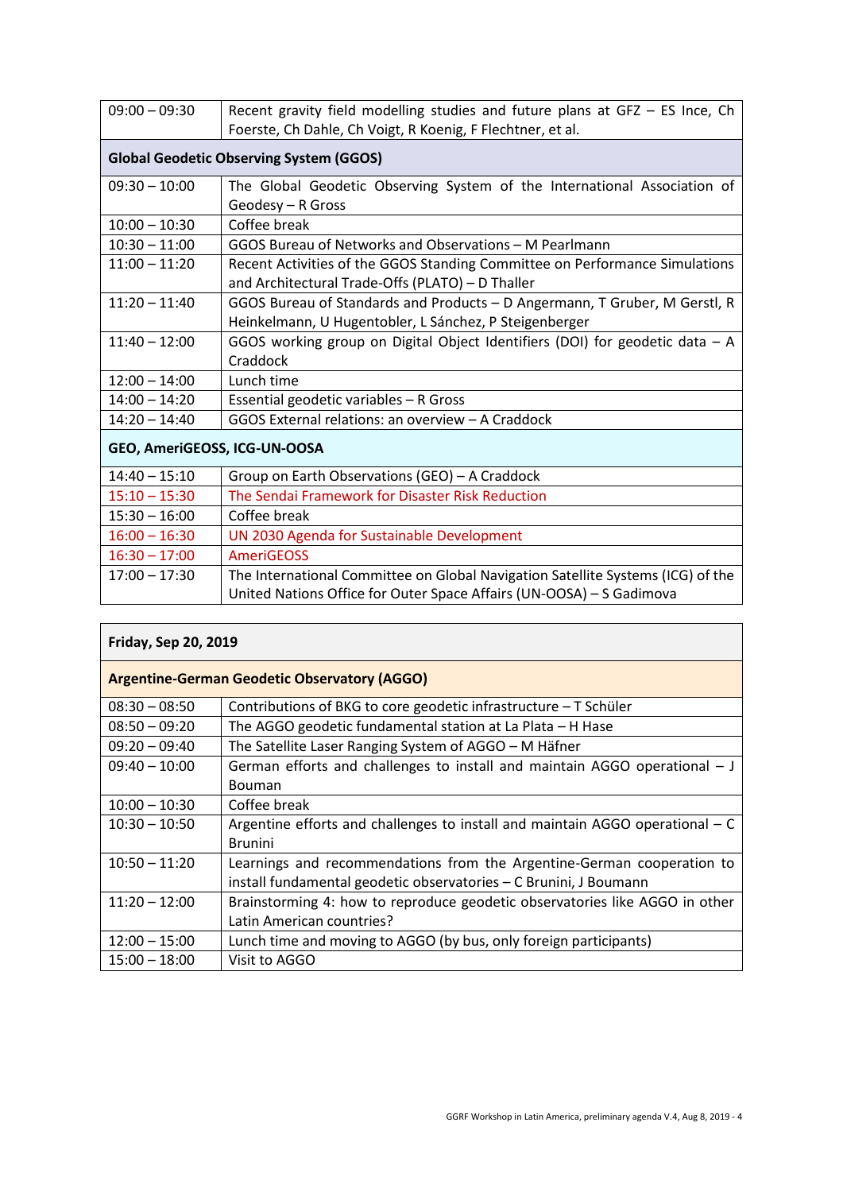| $09:00 - 09:30$              | Recent gravity field modelling studies and future plans at GFZ - ES Ince, Ch<br>Foerste, Ch Dahle, Ch Voigt, R Koenig, F Flechtner, et al. |  |
|------------------------------|--------------------------------------------------------------------------------------------------------------------------------------------|--|
|                              | <b>Global Geodetic Observing System (GGOS)</b>                                                                                             |  |
| $09:30 - 10:00$              | The Global Geodetic Observing System of the International Association of<br>Geodesy - R Gross                                              |  |
| $10:00 - 10:30$              | Coffee break                                                                                                                               |  |
| $10:30 - 11:00$              | GGOS Bureau of Networks and Observations - M Pearlmann                                                                                     |  |
| $11:00 - 11:20$              | Recent Activities of the GGOS Standing Committee on Performance Simulations<br>and Architectural Trade-Offs (PLATO) - D Thaller            |  |
| $11:20 - 11:40$              | GGOS Bureau of Standards and Products - D Angermann, T Gruber, M Gerstl, R                                                                 |  |
|                              | Heinkelmann, U Hugentobler, L Sánchez, P Steigenberger                                                                                     |  |
| $11:40 - 12:00$              | GGOS working group on Digital Object Identifiers (DOI) for geodetic data - A<br>Craddock                                                   |  |
| $12:00 - 14:00$              | Lunch time                                                                                                                                 |  |
| $14:00 - 14:20$              | Essential geodetic variables - R Gross                                                                                                     |  |
| $14:20 - 14:40$              | GGOS External relations: an overview - A Craddock                                                                                          |  |
| GEO, AmeriGEOSS, ICG-UN-OOSA |                                                                                                                                            |  |
| $14:40 - 15:10$              | Group on Earth Observations (GEO) - A Craddock                                                                                             |  |
| $15:10 - 15:30$              | The Sendai Framework for Disaster Risk Reduction                                                                                           |  |
| $15:30 - 16:00$              | Coffee break                                                                                                                               |  |
| $16:00 - 16:30$              | UN 2030 Agenda for Sustainable Development                                                                                                 |  |
| $16:30 - 17:00$              | AmeriGEOSS                                                                                                                                 |  |
| $17:00 - 17:30$              | The International Committee on Global Navigation Satellite Systems (ICG) of the                                                            |  |
|                              | United Nations Office for Outer Space Affairs (UN-OOSA) - S Gadimova                                                                       |  |

| <b>Friday, Sep 20, 2019</b>                         |                                                                                 |  |
|-----------------------------------------------------|---------------------------------------------------------------------------------|--|
| <b>Argentine-German Geodetic Observatory (AGGO)</b> |                                                                                 |  |
| $08:30 - 08:50$                                     | Contributions of BKG to core geodetic infrastructure – T Schüler                |  |
| $08:50 - 09:20$                                     | The AGGO geodetic fundamental station at La Plata - H Hase                      |  |
| $09:20 - 09:40$                                     | The Satellite Laser Ranging System of AGGO - M Häfner                           |  |
| $09:40 - 10:00$                                     | German efforts and challenges to install and maintain AGGO operational $- J$    |  |
|                                                     | <b>Bouman</b>                                                                   |  |
| $10:00 - 10:30$                                     | Coffee break                                                                    |  |
| $10:30 - 10:50$                                     | Argentine efforts and challenges to install and maintain AGGO operational $- C$ |  |
|                                                     | <b>Brunini</b>                                                                  |  |
| $10:50 - 11:20$                                     | Learnings and recommendations from the Argentine-German cooperation to          |  |
|                                                     | install fundamental geodetic observatories - C Brunini, J Boumann               |  |
| $11:20 - 12:00$                                     | Brainstorming 4: how to reproduce geodetic observatories like AGGO in other     |  |
|                                                     | Latin American countries?                                                       |  |
| $12:00 - 15:00$                                     | Lunch time and moving to AGGO (by bus, only foreign participants)               |  |
| $15:00 - 18:00$                                     | Visit to AGGO                                                                   |  |

 $\mathbf{r}$ 

7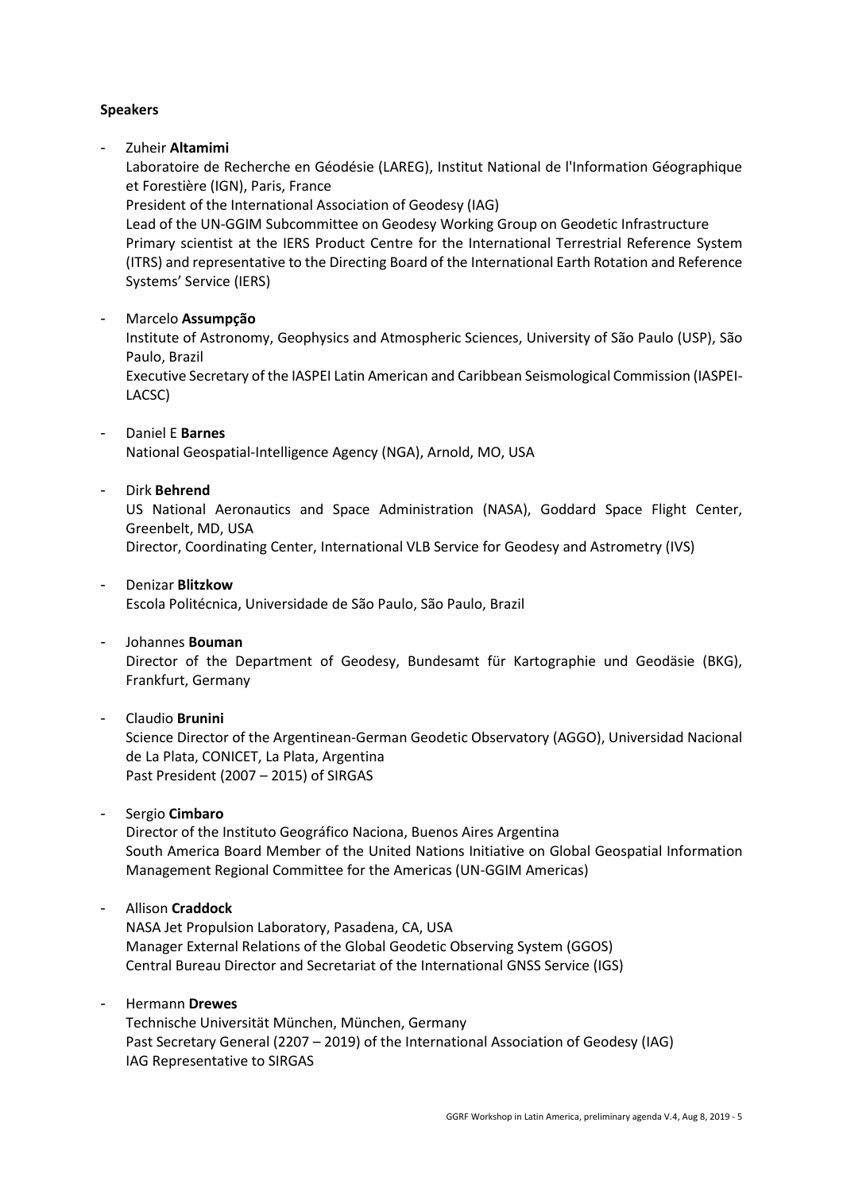#### **Speakers**

- Zuheir **Altamimi**

Laboratoire de Recherche en Géodésie (LAREG), Institut National de l'Information Géographique et Forestière (IGN), Paris, France

President of the International Association of Geodesy (IAG)

Lead of the UN-GGIM Subcommittee on Geodesy Working Group on Geodetic Infrastructure Primary scientist at the IERS Product Centre for the International Terrestrial Reference System (ITRS) and representative to the Directing Board of the International Earth Rotation and Reference Systems' Service (IERS)

#### - Marcelo **Assumpção**

Institute of Astronomy, Geophysics and Atmospheric Sciences, University of São Paulo (USP), São Paulo, Brazil

Executive Secretary of the IASPEI Latin American and Caribbean Seismological Commission (IASPEI-LACSC)

#### - Daniel E **Barnes**

National Geospatial-Intelligence Agency (NGA), Arnold, MO, USA

#### - Dirk **Behrend**

US National Aeronautics and Space Administration (NASA), Goddard Space Flight Center, Greenbelt, MD, USA

Director, Coordinating Center, International VLB Service for Geodesy and Astrometry (IVS)

#### - Denizar **Blitzkow**

Escola Politécnica, Universidade de São Paulo, São Paulo, Brazil

#### - Johannes **Bouman**

Director of the Department of Geodesy, Bundesamt für Kartographie und Geodäsie (BKG), Frankfurt, Germany

#### - Claudio **Brunini**

Science Director of the Argentinean-German Geodetic Observatory (AGGO), Universidad Nacional de La Plata, CONICET, La Plata, Argentina Past President (2007 – 2015) of SIRGAS

#### - Sergio **Cimbaro**

Director of the Instituto Geográfico Naciona, Buenos Aires Argentina South America Board Member of the United Nations Initiative on Global Geospatial Information Management Regional Committee for the Americas (UN-GGIM Americas)

#### - Allison **Craddock**

NASA Jet Propulsion Laboratory, Pasadena, CA, USA Manager External Relations of the Global Geodetic Observing System (GGOS) Central Bureau Director and Secretariat of the International GNSS Service (IGS)

#### - Hermann **Drewes**

Technische Universität München, München, Germany Past Secretary General (2207 – 2019) of the International Association of Geodesy (IAG) IAG Representative to SIRGAS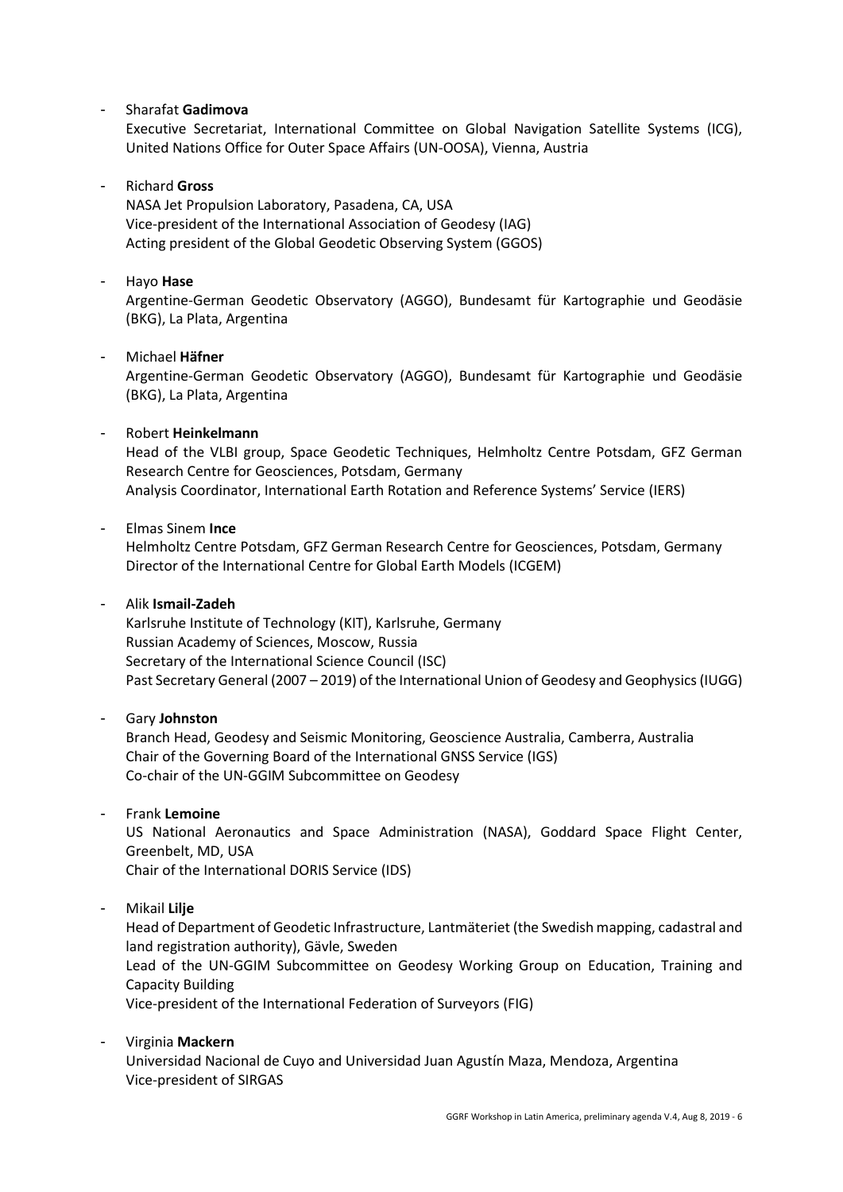#### - Sharafat **Gadimova**

Executive Secretariat, International Committee on Global Navigation Satellite Systems (ICG), United Nations Office for Outer Space Affairs (UN-OOSA), Vienna, Austria

#### - Richard **Gross**

NASA Jet Propulsion Laboratory, Pasadena, CA, USA Vice-president of the International Association of Geodesy (IAG) Acting president of the Global Geodetic Observing System (GGOS)

#### - Hayo **Hase**

Argentine-German Geodetic Observatory (AGGO), Bundesamt für Kartographie und Geodäsie (BKG), La Plata, Argentina

#### - Michael **Häfner**

Argentine-German Geodetic Observatory (AGGO), Bundesamt für Kartographie und Geodäsie (BKG), La Plata, Argentina

#### - Robert **Heinkelmann**

Head of the VLBI group, Space Geodetic Techniques, Helmholtz Centre Potsdam, GFZ German Research Centre for Geosciences, Potsdam, Germany Analysis Coordinator, International Earth Rotation and Reference Systems' Service (IERS)

#### - Elmas Sinem **Ince**

Helmholtz Centre Potsdam, GFZ German Research Centre for Geosciences, Potsdam, Germany Director of the International Centre for Global Earth Models (ICGEM)

#### - Alik **Ismail-Zadeh**

Karlsruhe Institute of Technology (KIT), Karlsruhe, Germany Russian Academy of Sciences, Moscow, Russia Secretary of the International Science Council (ISC) Past Secretary General (2007 – 2019) of the International Union of Geodesy and Geophysics (IUGG)

#### - Gary **Johnston**

Branch Head, Geodesy and Seismic Monitoring, Geoscience Australia, Camberra, Australia Chair of the Governing Board of the International GNSS Service (IGS) Co-chair of the UN-GGIM Subcommittee on Geodesy

- Frank **Lemoine**

US National Aeronautics and Space Administration (NASA), Goddard Space Flight Center, Greenbelt, MD, USA

Chair of the International DORIS Service (IDS)

- Mikail **Lilje**

Head of Department of Geodetic Infrastructure, Lantmäteriet (the Swedish mapping, cadastral and land registration authority), Gävle, Sweden

Lead of the UN-GGIM Subcommittee on Geodesy Working Group on Education, Training and Capacity Building

Vice-president of the International Federation of Surveyors (FIG)

## - Virginia **Mackern** Universidad Nacional de Cuyo and Universidad Juan Agustín Maza, Mendoza, Argentina Vice-president of SIRGAS